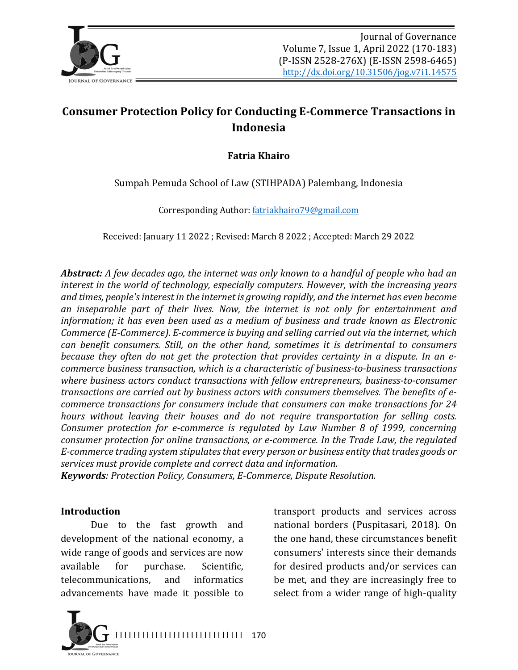

# **Consumer Protection Policy for Conducting E-Commerce Transactions in Indonesia**

### **Fatria Khairo**

Sumpah Pemuda School of Law (STIHPADA) Palembang, Indonesia

Corresponding Author: fatriakhairo79@gmail.com

Received: January 11 2022 ; Revised: March 8 2022 ; Accepted: March 29 2022

**Abstract:** A few decades ago, the internet was only known to a handful of people who had an *interest in the world of technology, especially computers. However, with the increasing years* and times, people's interest in the internet is growing rapidly, and the internet has even become *an* inseparable part of their lives. Now, the internet is not only for entertainment and *information; it has even been used as a medium of business and trade known as Electronic Commerce* (*E-Commerce*). *E-commerce* is buying and selling carried out via the internet, which *can benefit consumers. Still, on the other hand, sometimes it is detrimental to consumers because they often do not get the protection that provides certainty in a dispute. In an ecommerce business transaction, which is a characteristic of business-to-business transactions* where business actors conduct transactions with fellow entrepreneurs, business-to-consumer *transactions are carried out by business actors with consumers themselves. The benefits of ecommerce transactions for consumers include that consumers can make transactions for 24 hours* without leaving their houses and do not require transportation for selling costs. *Consumer protection for e-commerce is regulated by Law Number 8 of 1999, concerning consumer protection for online transactions, or e-commerce. In the Trade Law, the regulated* E-commerce trading system stipulates that every person or business entity that trades goods or services must provide complete and correct data and information.

*Keywords: Protection Policy, Consumers, E-Commerce, Dispute Resolution.*

#### **Introduction**

Due to the fast growth and development of the national economy, a wide range of goods and services are now available for purchase. Scientific, telecommunications, and informatics advancements have made it possible to

transport products and services across national borders (Puspitasari, 2018). On the one hand, these circumstances benefit consumers' interests since their demands for desired products and/or services can be met, and they are increasingly free to select from a wider range of high-quality

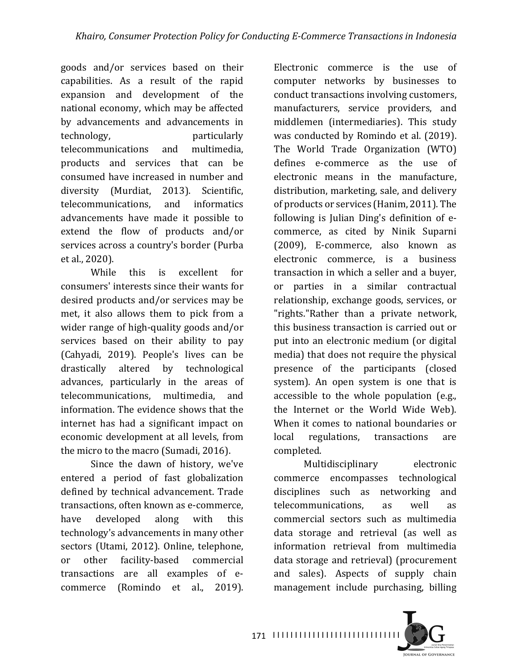goods and/or services based on their capabilities. As a result of the rapid expansion and development of the national economy, which may be affected by advancements and advancements in technology, particularly telecommunications and multimedia, products and services that can be consumed have increased in number and diversity (Murdiat, 2013). Scientific, telecommunications, and informatics advancements have made it possible to extend the flow of products and/or services across a country's border (Purba et al., 2020).

While this is excellent for consumers' interests since their wants for desired products and/or services may be met, it also allows them to pick from a wider range of high-quality goods and/or services based on their ability to pay (Cahyadi, 2019). People's lives can be drastically altered by technological advances, particularly in the areas of telecommunications, multimedia, and information. The evidence shows that the internet has had a significant impact on economic development at all levels, from the micro to the macro (Sumadi, 2016).

Since the dawn of history, we've entered a period of fast globalization defined by technical advancement. Trade transactions, often known as e-commerce, have developed along with this technology's advancements in many other sectors (Utami, 2012). Online, telephone, or other facility-based commercial transactions are all examples of ecommerce (Romindo et al., 2019).

Electronic commerce is the use of computer networks by businesses to conduct transactions involving customers, manufacturers, service providers, and middlemen (intermediaries). This study was conducted by Romindo et al. (2019). The World Trade Organization (WTO) defines e-commerce as the use of electronic means in the manufacture, distribution, marketing, sale, and delivery of products or services (Hanim, 2011). The following is Julian Ding's definition of  $e$ commerce, as cited by Ninik Suparni (2009), E-commerce, also known as electronic commerce, is a business transaction in which a seller and a buyer, or parties in a similar contractual relationship, exchange goods, services, or "rights."Rather than a private network, this business transaction is carried out or put into an electronic medium (or digital media) that does not require the physical presence of the participants (closed system). An open system is one that is accessible to the whole population (e.g., the Internet or the World Wide Web). When it comes to national boundaries or local regulations, transactions are completed.

Multidisciplinary electronic commerce encompasses technological disciplines such as networking and telecommunications, as well as commercial sectors such as multimedia data storage and retrieval (as well as information retrieval from multimedia data storage and retrieval) (procurement and sales). Aspects of supply chain management include purchasing, billing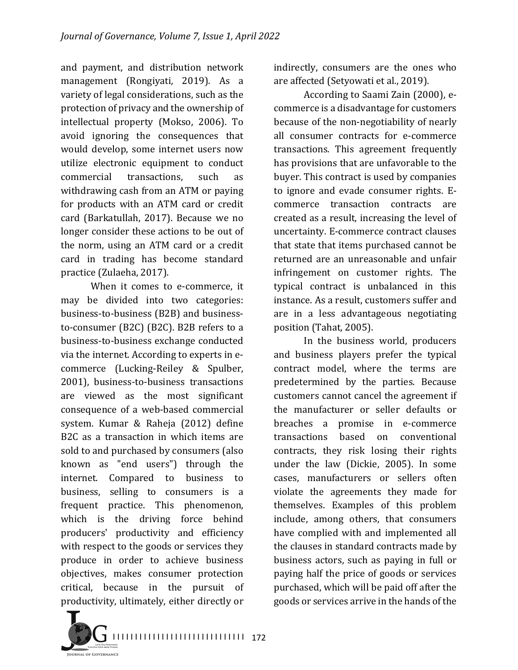and payment, and distribution network management (Rongiyati, 2019). As a variety of legal considerations, such as the protection of privacy and the ownership of intellectual property (Mokso, 2006). To avoid ignoring the consequences that would develop, some internet users now utilize electronic equipment to conduct commercial transactions, such as withdrawing cash from an ATM or paying for products with an ATM card or credit card (Barkatullah, 2017). Because we no longer consider these actions to be out of the norm, using an ATM card or a credit card in trading has become standard practice (Zulaeha, 2017).

When it comes to e-commerce, it may be divided into two categories: business-to-business (B2B) and businessto-consumer (B2C) (B2C). B2B refers to a business-to-business exchange conducted via the internet. According to experts in ecommerce (Lucking-Reiley & Spulber, 2001), business-to-business transactions are viewed as the most significant consequence of a web-based commercial system. Kumar & Raheja (2012) define B2C as a transaction in which items are sold to and purchased by consumers (also known as "end users") through the internet. Compared to business to business, selling to consumers is a frequent practice. This phenomenon, which is the driving force behind producers' productivity and efficiency with respect to the goods or services they produce in order to achieve business objectives, makes consumer protection critical, because in the pursuit of productivity, ultimately, either directly or

indirectly, consumers are the ones who are affected (Setyowati et al., 2019).

According to Saami Zain (2000), ecommerce is a disadvantage for customers because of the non-negotiability of nearly all consumer contracts for e-commerce transactions. This agreement frequently has provisions that are unfavorable to the buyer. This contract is used by companies to ignore and evade consumer rights. Ecommerce transaction contracts are created as a result, increasing the level of uncertainty. E-commerce contract clauses that state that items purchased cannot be returned are an unreasonable and unfair infringement on customer rights. The typical contract is unbalanced in this instance. As a result, customers suffer and are in a less advantageous negotiating position (Tahat, 2005).

In the business world, producers and business players prefer the typical contract model, where the terms are predetermined by the parties. Because customers cannot cancel the agreement if the manufacturer or seller defaults or breaches a promise in e-commerce transactions based on conventional contracts, they risk losing their rights under the law (Dickie, 2005). In some cases, manufacturers or sellers often violate the agreements they made for themselves. Examples of this problem include, among others, that consumers have complied with and implemented all the clauses in standard contracts made by business actors, such as paying in full or paying half the price of goods or services purchased, which will be paid off after the goods or services arrive in the hands of the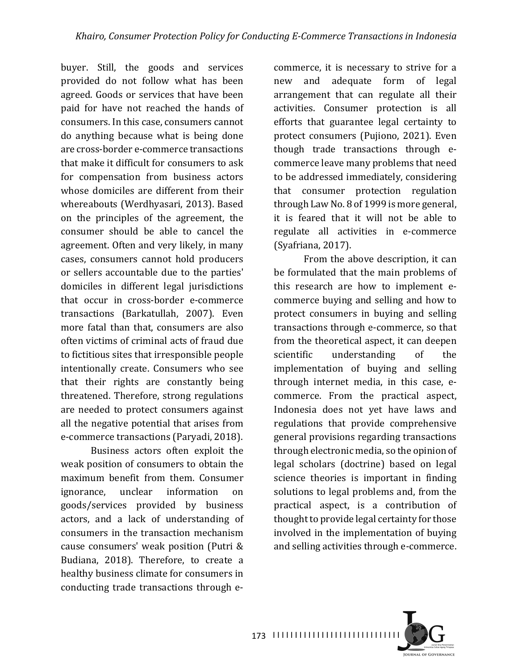buyer. Still, the goods and services provided do not follow what has been agreed. Goods or services that have been paid for have not reached the hands of consumers. In this case, consumers cannot do anything because what is being done are cross-border e-commerce transactions that make it difficult for consumers to ask for compensation from business actors whose domiciles are different from their whereabouts (Werdhyasari, 2013). Based on the principles of the agreement, the consumer should be able to cancel the agreement. Often and very likely, in many cases, consumers cannot hold producers or sellers accountable due to the parties' domiciles in different legal jurisdictions that occur in cross-border e-commerce transactions (Barkatullah, 2007). Even more fatal than that, consumers are also often victims of criminal acts of fraud due to fictitious sites that irresponsible people intentionally create. Consumers who see that their rights are constantly being threatened. Therefore, strong regulations are needed to protect consumers against all the negative potential that arises from e-commerce transactions (Paryadi, 2018).

Business actors often exploit the weak position of consumers to obtain the maximum benefit from them. Consumer ignorance, unclear information on goods/services provided by business actors, and a lack of understanding of consumers in the transaction mechanism cause consumers' weak position (Putri & Budiana, 2018). Therefore, to create a healthy business climate for consumers in conducting trade transactions through ecommerce, it is necessary to strive for a new and adequate form of legal arrangement that can regulate all their activities. Consumer protection is all efforts that guarantee legal certainty to protect consumers (Pujiono, 2021). Even though trade transactions through ecommerce leave many problems that need to be addressed immediately, considering that consumer protection regulation through Law No. 8 of 1999 is more general, it is feared that it will not be able to regulate all activities in e-commerce  $(Syafriana, 2017)$ .

From the above description, it can be formulated that the main problems of this research are how to implement ecommerce buying and selling and how to protect consumers in buying and selling transactions through e-commerce, so that from the theoretical aspect, it can deepen scientific understanding of the implementation of buying and selling through internet media, in this case, ecommerce. From the practical aspect, Indonesia does not yet have laws and regulations that provide comprehensive general provisions regarding transactions through electronic media, so the opinion of legal scholars (doctrine) based on legal science theories is important in finding solutions to legal problems and, from the practical aspect, is a contribution of thought to provide legal certainty for those involved in the implementation of buying and selling activities through e-commerce.

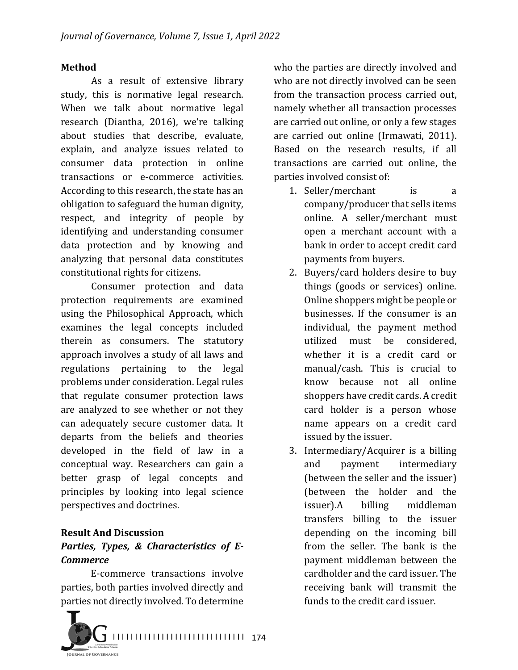#### **Method**

As a result of extensive library study, this is normative legal research. When we talk about normative legal research (Diantha, 2016), we're talking about studies that describe, evaluate, explain, and analyze issues related to consumer data protection in online transactions or e-commerce activities. According to this research, the state has an obligation to safeguard the human dignity, respect, and integrity of people by identifying and understanding consumer data protection and by knowing and analyzing that personal data constitutes constitutional rights for citizens.

Consumer protection and data protection requirements are examined using the Philosophical Approach, which examines the legal concepts included therein as consumers. The statutory approach involves a study of all laws and regulations pertaining to the legal problems under consideration. Legal rules that regulate consumer protection laws are analyzed to see whether or not they can adequately secure customer data. It departs from the beliefs and theories developed in the field of law in a conceptual way. Researchers can gain a better grasp of legal concepts and principles by looking into legal science perspectives and doctrines.

### **Result And Discussion**

## Parties, Types, & Characteristics of E-*Commerce*

E-commerce transactions involve parties, both parties involved directly and parties not directly involved. To determine



who the parties are directly involved and who are not directly involved can be seen from the transaction process carried out, namely whether all transaction processes are carried out online, or only a few stages are carried out online (Irmawati, 2011). Based on the research results, if all transactions are carried out online, the parties involved consist of:

- 1. Seller/merchant is a company/producer that sells items online. A seller/merchant must open a merchant account with a bank in order to accept credit card payments from buyers.
- 2. Buyers/card holders desire to buy things (goods or services) online. Online shoppers might be people or businesses. If the consumer is an individual, the payment method utilized must be considered, whether it is a credit card or manual/cash. This is crucial to know because not all online shoppers have credit cards. A credit card holder is a person whose name appears on a credit card issued by the issuer.
- 3. Intermediary/Acquirer is a billing and payment intermediary (between the seller and the issuer) (between the holder and the issuer).A billing middleman transfers billing to the issuer depending on the incoming bill from the seller. The bank is the payment middleman between the cardholder and the card issuer. The receiving bank will transmit the funds to the credit card issuer.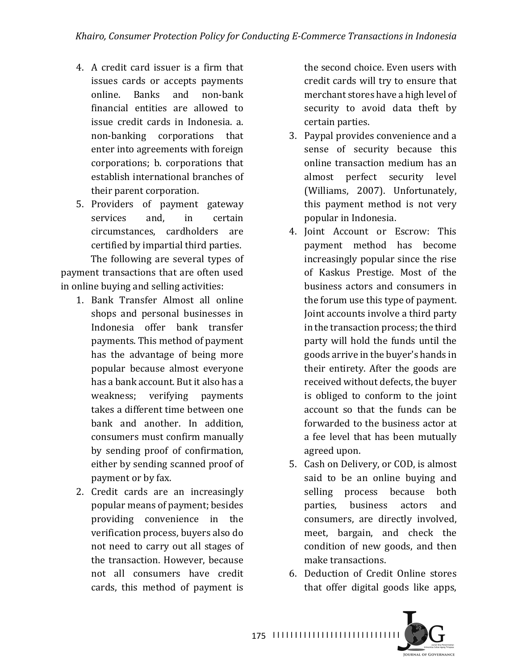- 4. A credit card issuer is a firm that issues cards or accepts payments online. Banks and non-bank financial entities are allowed to issue credit cards in Indonesia, a. non-banking corporations that enter into agreements with foreign corporations; b. corporations that establish international branches of their parent corporation.
- 5. Providers of payment gateway services and, in certain circumstances, cardholders are certified by impartial third parties. The following are several types of

payment transactions that are often used in online buying and selling activities:

- 1. Bank Transfer Almost all online shops and personal businesses in Indonesia offer bank transfer payments. This method of payment has the advantage of being more popular because almost everyone has a bank account. But it also has a weakness; verifying payments takes a different time between one bank and another. In addition, consumers must confirm manually by sending proof of confirmation, either by sending scanned proof of payment or by fax.
- 2. Credit cards are an increasingly popular means of payment; besides providing convenience in the verification process, buyers also do not need to carry out all stages of the transaction. However, because not all consumers have credit cards, this method of payment is

the second choice. Even users with credit cards will try to ensure that merchant stores have a high level of security to avoid data theft by certain parties.

- 3. Paypal provides convenience and a sense of security because this online transaction medium has an almost perfect security level (Williams, 2007). Unfortunately, this payment method is not very popular in Indonesia.
- 4. Joint Account or Escrow: This payment method has become increasingly popular since the rise of Kaskus Prestige. Most of the business actors and consumers in the forum use this type of payment. Joint accounts involve a third party in the transaction process; the third party will hold the funds until the goods arrive in the buyer's hands in their entirety. After the goods are received without defects, the buyer is obliged to conform to the joint account so that the funds can be forwarded to the business actor at a fee level that has been mutually agreed upon.
- 5. Cash on Delivery, or COD, is almost said to be an online buying and selling process because both parties, business actors and consumers, are directly involved, meet, bargain, and check the condition of new goods, and then make transactions.
- 6. Deduction of Credit Online stores that offer digital goods like apps,

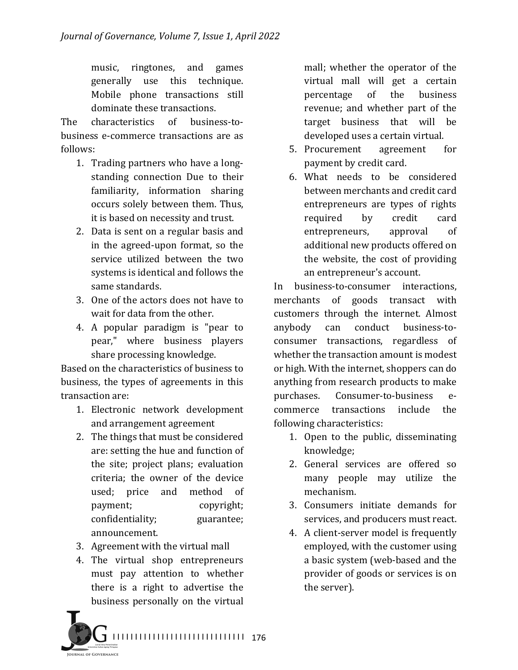music, ringtones, and games generally use this technique. Mobile phone transactions still dominate these transactions.

The characteristics of business-tobusiness e-commerce transactions are as follows:

- 1. Trading partners who have a longstanding connection Due to their familiarity, information sharing occurs solely between them. Thus, it is based on necessity and trust.
- 2. Data is sent on a regular basis and in the agreed-upon format, so the service utilized between the two systems is identical and follows the same standards.
- 3. One of the actors does not have to wait for data from the other.
- 4. A popular paradigm is "pear to pear," where business players share processing knowledge.

Based on the characteristics of business to business, the types of agreements in this transaction are:

- 1. Electronic network development and arrangement agreement
- 2. The things that must be considered are: setting the hue and function of the site; project plans; evaluation criteria; the owner of the device used; price and method of payment; copyright; confidentiality; guarantee; announcement.
- 3. Agreement with the virtual mall
- 4. The virtual shop entrepreneurs must pay attention to whether there is a right to advertise the business personally on the virtual

mall; whether the operator of the virtual mall will get a certain percentage of the business revenue; and whether part of the target business that will be developed uses a certain virtual.

- 5. Procurement agreement for payment by credit card.
- 6. What needs to be considered between merchants and credit card entrepreneurs are types of rights required by credit card entrepreneurs, approval of additional new products offered on the website, the cost of providing an entrepreneur's account.

In business-to-consumer interactions, merchants of goods transact with customers through the internet. Almost anybody can conduct business-toconsumer transactions, regardless of whether the transaction amount is modest or high. With the internet, shoppers can do anything from research products to make purchases. Consumer-to-business ecommerce transactions include the following characteristics:

- 1. Open to the public, disseminating knowledge;
- 2. General services are offered so many people may utilize the mechanism.
- 3. Consumers initiate demands for services, and producers must react.
- 4. A client-server model is frequently employed, with the customer using a basic system (web-based and the provider of goods or services is on the server).

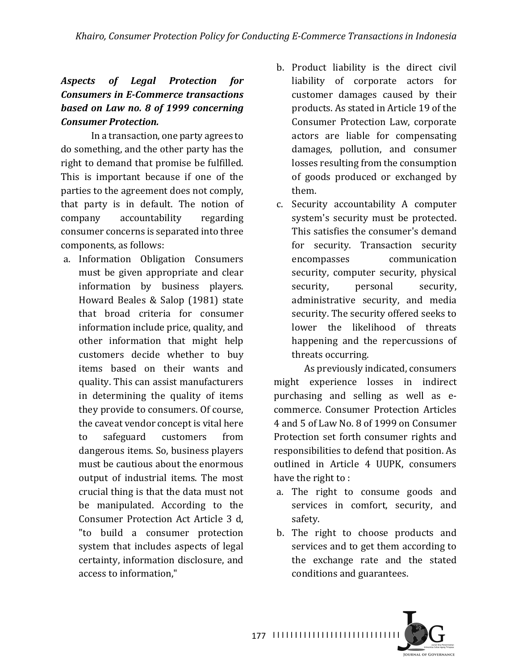### *Aspects of Legal Protection for Consumers in E-Commerce transactions* **based on Law no. 8 of 1999 concerning** *Consumer Protection.*

In a transaction, one party agrees to do something, and the other party has the right to demand that promise be fulfilled. This is important because if one of the parties to the agreement does not comply, that party is in default. The notion of company accountability regarding consumer concerns is separated into three components, as follows:

- a. Information Obligation Consumers must be given appropriate and clear information by business players. Howard Beales & Salop (1981) state that broad criteria for consumer information include price, quality, and other information that might help customers decide whether to buy items based on their wants and quality. This can assist manufacturers in determining the quality of items they provide to consumers. Of course, the caveat vendor concept is vital here to safeguard customers from dangerous items. So, business players must be cautious about the enormous output of industrial items. The most crucial thing is that the data must not be manipulated. According to the Consumer Protection Act Article 3 d. "to build a consumer protection system that includes aspects of legal certainty, information disclosure, and access to information."
- b. Product liability is the direct civil liability of corporate actors for customer damages caused by their products. As stated in Article 19 of the Consumer Protection Law, corporate actors are liable for compensating damages, pollution, and consumer losses resulting from the consumption of goods produced or exchanged by them.
- c. Security accountability A computer system's security must be protected. This satisfies the consumer's demand for security. Transaction security encompasses communication security, computer security, physical security, personal security, administrative security, and media security. The security offered seeks to lower the likelihood of threats happening and the repercussions of threats occurring.

As previously indicated, consumers might experience losses in indirect purchasing and selling as well as ecommerce. Consumer Protection Articles 4 and 5 of Law No. 8 of 1999 on Consumer Protection set forth consumer rights and responsibilities to defend that position. As outlined in Article 4 UUPK, consumers have the right to :

- a. The right to consume goods and services in comfort, security, and safety.
- b. The right to choose products and services and to get them according to the exchange rate and the stated conditions and guarantees.

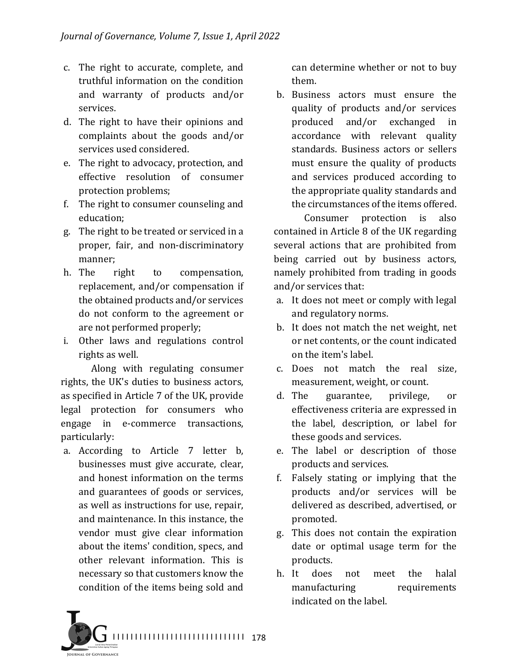- c. The right to accurate, complete, and truthful information on the condition and warranty of products and/or services.
- d. The right to have their opinions and complaints about the goods and/or services used considered.
- e. The right to advocacy, protection, and effective resolution of consumer protection problems;
- f. The right to consumer counseling and education;
- g. The right to be treated or serviced in a proper, fair, and non-discriminatory manner;
- h. The right to compensation, replacement, and/or compensation if the obtained products and/or services do not conform to the agreement or are not performed properly;
- i. Other laws and regulations control rights as well.

Along with regulating consumer rights, the UK's duties to business actors, as specified in Article 7 of the UK, provide legal protection for consumers who engage in e-commerce transactions, particularly:

a. According to Article 7 letter b, businesses must give accurate, clear, and honest information on the terms and guarantees of goods or services, as well as instructions for use, repair, and maintenance. In this instance, the vendor must give clear information about the items' condition, specs, and other relevant information. This is necessary so that customers know the condition of the items being sold and

can determine whether or not to buy them.

b. Business actors must ensure the quality of products and/or services produced and/or exchanged in accordance with relevant quality standards. Business actors or sellers must ensure the quality of products and services produced according to the appropriate quality standards and the circumstances of the items offered.

Consumer protection is also contained in Article 8 of the UK regarding several actions that are prohibited from being carried out by business actors, namely prohibited from trading in goods and/or services that:

- a. It does not meet or comply with legal and regulatory norms.
- b. It does not match the net weight, net or net contents, or the count indicated on the item's label.
- c. Does not match the real size, measurement, weight, or count.
- d. The guarantee, privilege, or effectiveness criteria are expressed in the label, description, or label for these goods and services.
- e. The label or description of those products and services.
- f. Falsely stating or implying that the products and/or services will be delivered as described, advertised, or promoted.
- g. This does not contain the expiration date or optimal usage term for the products.
- h. It does not meet the halal manufacturing requirements indicated on the label.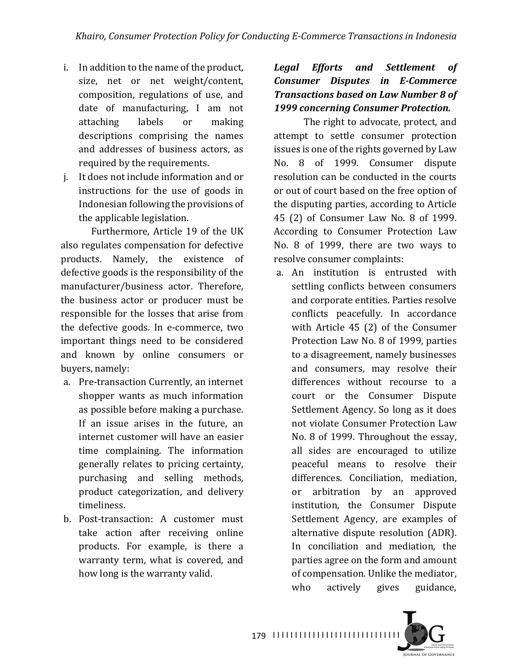- i. In addition to the name of the product, size, net or net weight/content, composition, regulations of use, and date of manufacturing, I am not attaching labels or making descriptions comprising the names and addresses of business actors, as required by the requirements.
- j. It does not include information and or instructions for the use of goods in Indonesian following the provisions of the applicable legislation.

Furthermore, Article 19 of the UK also regulates compensation for defective products. Namely, the existence of defective goods is the responsibility of the manufacturer/business actor. Therefore, the business actor or producer must be responsible for the losses that arise from the defective goods. In e-commerce, two important things need to be considered and known by online consumers or buyers, namely:

- a. Pre-transaction Currently, an internet shopper wants as much information as possible before making a purchase. If an issue arises in the future, an internet customer will have an easier time complaining. The information generally relates to pricing certainty, purchasing and selling methods, product categorization, and delivery timeliness.
- b. Post-transaction: A customer must take action after receiving online products. For example, is there a warranty term, what is covered, and how long is the warranty valid.

### *Legal Efforts and Settlement of Consumer Disputes in E-Commerce*  **Transactions based on Law Number 8 of** *1999 concerning Consumer Protection.*

The right to advocate, protect, and attempt to settle consumer protection issues is one of the rights governed by Law No. 8 of 1999. Consumer dispute resolution can be conducted in the courts or out of court based on the free option of the disputing parties, according to Article 45 (2) of Consumer Law No. 8 of 1999. According to Consumer Protection Law No. 8 of 1999, there are two ways to resolve consumer complaints:

a. An institution is entrusted with settling conflicts between consumers and corporate entities. Parties resolve conflicts peacefully. In accordance with Article 45 (2) of the Consumer Protection Law No. 8 of 1999, parties to a disagreement, namely businesses and consumers, may resolve their differences without recourse to a court or the Consumer Dispute Settlement Agency. So long as it does not violate Consumer Protection Law No. 8 of 1999. Throughout the essay, all sides are encouraged to utilize peaceful means to resolve their differences. Conciliation, mediation, or arbitration by an approved institution, the Consumer Dispute Settlement Agency, are examples of alternative dispute resolution (ADR). In conciliation and mediation, the parties agree on the form and amount of compensation. Unlike the mediator, who actively gives guidance,

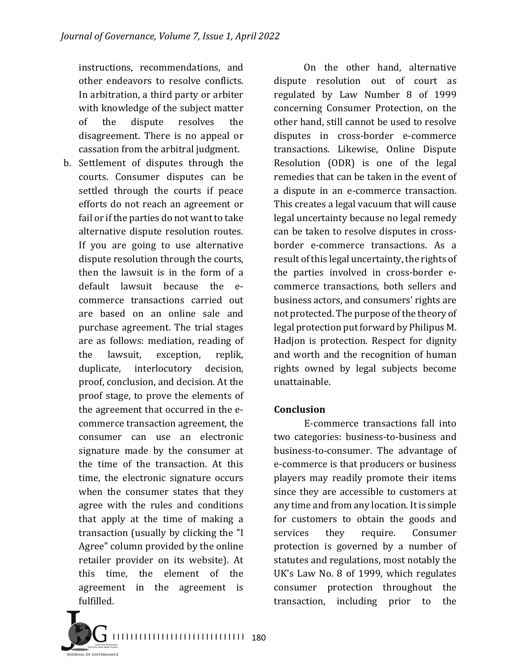instructions, recommendations, and other endeavors to resolve conflicts. In arbitration, a third party or arbiter with knowledge of the subject matter of the dispute resolves the disagreement. There is no appeal or cassation from the arbitral judgment.

b. Settlement of disputes through the courts. Consumer disputes can be settled through the courts if peace efforts do not reach an agreement or fail or if the parties do not want to take alternative dispute resolution routes. If you are going to use alternative dispute resolution through the courts, then the lawsuit is in the form of a default lawsuit because the ecommerce transactions carried out are based on an online sale and purchase agreement. The trial stages are as follows: mediation, reading of the lawsuit, exception, replik, duplicate, interlocutory decision, proof, conclusion, and decision. At the proof stage, to prove the elements of the agreement that occurred in the ecommerce transaction agreement, the consumer can use an electronic signature made by the consumer at the time of the transaction. At this time, the electronic signature occurs when the consumer states that they agree with the rules and conditions that apply at the time of making a transaction (usually by clicking the "I Agree" column provided by the online retailer provider on its website). At this time, the element of the agreement in the agreement is fulfilled.

On the other hand, alternative dispute resolution out of court as regulated by Law Number 8 of 1999 concerning Consumer Protection, on the other hand, still cannot be used to resolve disputes in cross-border e-commerce transactions. Likewise, Online Dispute Resolution (ODR) is one of the legal remedies that can be taken in the event of a dispute in an e-commerce transaction. This creates a legal vacuum that will cause legal uncertainty because no legal remedy can be taken to resolve disputes in crossborder e-commerce transactions. As a result of this legal uncertainty, the rights of the parties involved in cross-border ecommerce transactions, both sellers and business actors, and consumers' rights are not protected. The purpose of the theory of legal protection put forward by Philipus M. Hadjon is protection. Respect for dignity and worth and the recognition of human rights owned by legal subjects become unattainable.

### **Conclusion**

E-commerce transactions fall into two categories: business-to-business and business-to-consumer. The advantage of e-commerce is that producers or business players may readily promote their items since they are accessible to customers at any time and from any location. It is simple for customers to obtain the goods and services they require. Consumer protection is governed by a number of statutes and regulations, most notably the UK's Law No. 8 of 1999, which regulates consumer protection throughout the transaction, including prior to the 

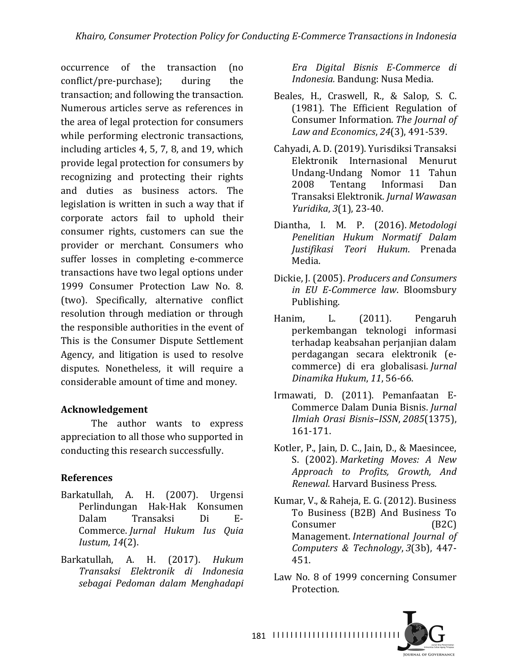occurrence of the transaction (no conflict/pre-purchase); during the transaction; and following the transaction. Numerous articles serve as references in the area of legal protection for consumers while performing electronic transactions, including articles  $4, 5, 7, 8$ , and  $19$ , which provide legal protection for consumers by recognizing and protecting their rights and duties as business actors. The legislation is written in such a way that if corporate actors fail to uphold their consumer rights, customers can sue the provider or merchant. Consumers who suffer losses in completing e-commerce transactions have two legal options under 1999 Consumer Protection Law No. 8. (two). Specifically, alternative conflict resolution through mediation or through the responsible authorities in the event of This is the Consumer Dispute Settlement Agency, and litigation is used to resolve disputes. Nonetheless, it will require a considerable amount of time and money.

### **Acknowledgement**

The author wants to express appreciation to all those who supported in conducting this research successfully.

### **References**

- Barkatullah, A. H. (2007). Urgensi Perlindungan Hak-Hak Konsumen Dalam Transaksi Di E-Commerce. *Jurnal Hukum Ius Quia Iustum*, *14*(2).
- Barkatullah, A. H. (2017). *Hukum Transaksi Elektronik di Indonesia sebagai Pedoman dalam Menghadapi*

*Era Digital Bisnis E-Commerce di Indonesia.* Bandung: Nusa Media.

- Beales, H., Craswell, R., & Salop, S. C. (1981). The Efficient Regulation of Consumer Information. The *Journal of Law and Economics*, *24*(3), 491-539.
- Cahyadi, A. D. (2019). Yurisdiksi Transaksi Elektronik Internasional Menurut Undang-Undang Nomor 11 Tahun 2008 Tentang Informasi Dan Transaksi Elektronik. *Jurnal Wawasan Yuridika*, *3*(1), 23-40.
- Diantha, I. M. P. (2016). *Metodologi Penelitian Hukum Normatif Dalam Justifikasi Teori Hukum*. Prenada Media.
- Dickie, J. (2005). *Producers and Consumers in EU E-Commerce law*. Bloomsbury Publishing.
- Hanim, L. (2011). Pengaruh perkembangan teknologi informasi terhadap keabsahan perjanjian dalam perdagangan secara elektronik (ecommerce) di era globalisasi. *Jurnal Dinamika Hukum*, *11*, 56-66.
- Irmawati, D. (2011). Pemanfaatan E-Commerce Dalam Dunia Bisnis. *Jurnal Ilmiah Orasi Bisnis–ISSN*, *2085*(1375), 161-171.
- Kotler, P., Jain, D. C., Jain, D., & Maesincee, S. (2002). *Marketing Moves: A New Approach to Profits, Growth, And Renewal*. Harvard Business Press.
- Kumar, V., & Raheja, E. G. (2012). Business To Business (B2B) And Business To Consumer (B2C) Management. *International Journal of Computers & Technology*, *3*(3b), 447- 451.
- Law No. 8 of 1999 concerning Consumer Protection.

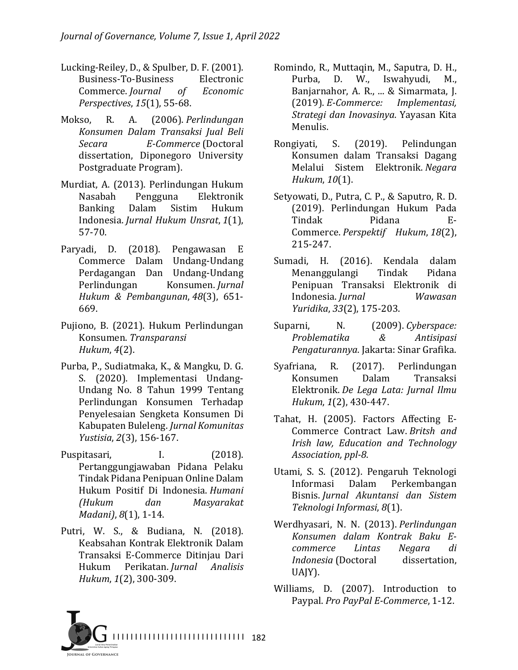- Lucking-Reiley, D., & Spulber, D. F. (2001). Business-To-Business Electronic Commerce. *Journal of Economic Perspectives*, *15*(1), 55-68.
- Mokso, R. A. (2006). *Perlindungan Konsumen Dalam Transaksi Jual Beli Secara E-Commerce* (Doctoral dissertation, Diponegoro University Postgraduate Program).
- Murdiat, A. (2013). Perlindungan Hukum Nasabah Pengguna Elektronik Banking Dalam Sistim Hukum Indonesia. *Jurnal Hukum Unsrat*, *1*(1), 57-70.
- Paryadi, D. (2018). Pengawasan E Commerce Dalam Undang-Undang Perdagangan Dan Undang-Undang Perlindungan Konsumen. *Jurnal Hukum & Pembangunan*, *48*(3), 651- 669.
- Pujiono, B. (2021). Hukum Perlindungan Konsumen. *Transparansi Hukum*, *4*(2).
- Purba, P., Sudiatmaka, K., & Mangku, D. G. S. (2020). Implementasi Undang-Undang No. 8 Tahun 1999 Tentang Perlindungan Konsumen Terhadap Penyelesaian Sengketa Konsumen Di Kabupaten Buleleng. *Jurnal Komunitas Yustisia*, *2*(3), 156-167.
- Puspitasari, I. (2018). Pertanggungjawaban Pidana Pelaku Tindak Pidana Penipuan Online Dalam Hukum Positif Di Indonesia. *Humani (Hukum dan Masyarakat Madani*),  $8(1)$ , 1-14.
- Putri, W. S., & Budiana, N. (2018). Keabsahan Kontrak Elektronik Dalam Transaksi E-Commerce Ditinjau Dari Hukum Perikatan. *Jurnal Analisis Hukum*, *1*(2), 300-309.
- Romindo, R., Muttaqin, M., Saputra, D. H., Purba, D. W., Iswahyudi, M., Banjarnahor, A. R., ... & Simarmata, J. (2019). *E-Commerce: Implementasi, Strategi dan Inovasinya*. Yayasan Kita Menulis.
- Rongiyati, S. (2019). Pelindungan Konsumen dalam Transaksi Dagang Melalui Sistem Elektronik. *Negara Hukum*, *10*(1).
- Setyowati, D., Putra, C. P., & Saputro, R. D. (2019). Perlindungan Hukum Pada Tindak Pidana E-Commerce. *Perspektif Hukum*, *18*(2), 215-247.
- Sumadi, H. (2016). Kendala dalam Menanggulangi Tindak Pidana Penipuan Transaksi Elektronik di Indonesia. *Jurnal Wawasan Yuridika*, *33*(2), 175-203.
- Suparni, N. (2009). Cyberspace: *Problematika & Antisipasi Pengaturannya*. Jakarta: Sinar Grafika.
- Syafriana, R. (2017). Perlindungan Konsumen Dalam Transaksi Elektronik. *De Lega Lata: Jurnal Ilmu Hukum*, *1*(2), 430-447.
- Tahat, H. (2005). Factors Affecting E-Commerce Contract Law. *Britsh and Irish law, Education and Technology Association, ppl-8*.
- Utami, S. S. (2012). Pengaruh Teknologi Informasi Dalam Perkembangan Bisnis. *Jurnal Akuntansi dan Sistem Teknologi Informasi*, *8*(1).
- Werdhyasari, N. N. (2013). Perlindungan *Konsumen dalam Kontrak Baku Ecommerce Lintas Negara di Indonesia* (Doctoral dissertation, UAJY).
- Williams, D. (2007). Introduction to Paypal. *Pro PayPal E-Commerce*, 1-12.